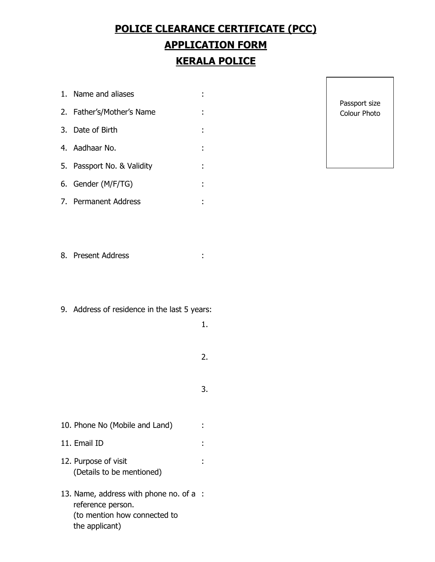## **POLICE CLEARANCE CERTIFICATE (PCC) APPLICATION FORM KERALA POLICE**

1. Name and aliases : 2. Father's/Mother's Name : 3. Date of Birth : 4. Aadhaar No. : 5. Passport No. & Validity : 6. Gender (M/F/TG) : 7. Permanent Address :

Passport size Colour Photo

- 8. Present Address :
- 9. Address of residence in the last 5 years:
- 1. 2. 3. 10. Phone No (Mobile and Land) : 11. Email ID : 12. Purpose of visit : (Details to be mentioned) 13. Name, address with phone no. of a : reference person.
	- (to mention how connected to the applicant)